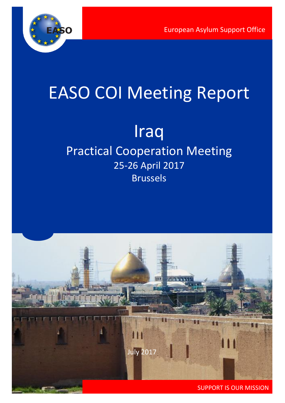

# EASO COI Meeting Report

## Iraq

## Practical Cooperation Meeting 25-26 April 2017 **Brussels**

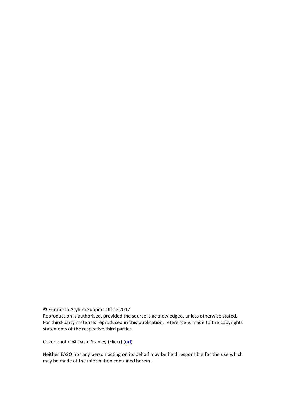© European Asylum Support Office 2017

Reproduction is authorised, provided the source is acknowledged, unless otherwise stated. For third-party materials reproduced in this publication, reference is made to the copyrights statements of the respective third parties.

Cover photo: © David Stanley (Flickr) [\(url\)](https://www.flickr.com/photos/davidstanleytravel/30525211896/in/photolist-NvpG1Q-NLSuXc-72Meb5-LDrZeu-9JqfXz-P86ZMF-NxTUjt-55m4QT-7jRrzQ-Fa6wm-99dCGk-MpLfPp-N3hq9d-P1CiQs-8nb6j4-5TK7ab-MzJ6DC-NzAwrN-NnHqqD-N8Qjvp-miBwT-8qsrRG-P8EYUE-6zKEyS-3t6jx-2inNf-9j65ak-7JjJ1B-N9Dmwb-bKgKQP-bwn1jj-bwn12j-rANsZ-PvUFR-GkUew-cxuu-FH44r-tX61q-PbP2n-cxv9-quCCR-hkgXz-3e8A-H5bXY-2rsig-2hLrW-CdE9C-eYp8h-2AjEDt-3WNw2)

Neither EASO nor any person acting on its behalf may be held responsible for the use which may be made of the information contained herein.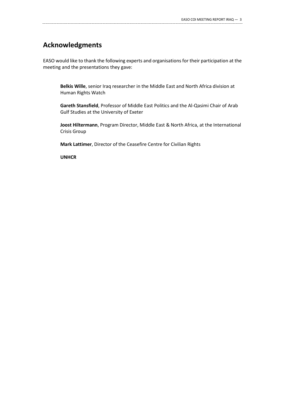## <span id="page-2-0"></span>**Acknowledgments**

EASO would like to thank the following experts and organisations for their participation at the meeting and the presentations they gave:

**Belkis Wille**, senior Iraq researcher in the Middle East and North Africa division at Human Rights Watch

**Gareth Stansfield**, Professor of Middle East Politics and the Al-Qasimi Chair of Arab Gulf Studies at the University of Exeter

**Joost Hiltermann**, Program Director, Middle East & North Africa, at the International Crisis Group

**Mark Lattimer**, Director of the Ceasefire Centre for Civilian Rights

**UNHCR**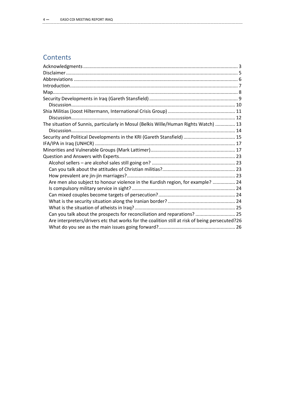## **Contents**

| The situation of Sunnis, particularly in Mosul (Belkis Wille/Human Rights Watch)  13           |
|------------------------------------------------------------------------------------------------|
|                                                                                                |
|                                                                                                |
|                                                                                                |
|                                                                                                |
|                                                                                                |
|                                                                                                |
|                                                                                                |
|                                                                                                |
| Are men also subject to honour violence in the Kurdish region, for example?  24                |
|                                                                                                |
|                                                                                                |
|                                                                                                |
|                                                                                                |
| Can you talk about the prospects for reconciliation and reparations?  25                       |
| Are interpreters/drivers etc that works for the coalition still at risk of being persecuted?26 |
|                                                                                                |
|                                                                                                |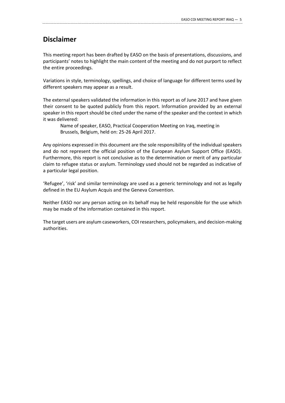## <span id="page-4-0"></span>**Disclaimer**

This meeting report has been drafted by EASO on the basis of presentations, discussions, and participants' notes to highlight the main content of the meeting and do not purport to reflect the entire proceedings.

Variations in style, terminology, spellings, and choice of language for different terms used by different speakers may appear as a result.

The external speakers validated the information in this report as of June 2017 and have given their consent to be quoted publicly from this report. Information provided by an external speaker in this report should be cited under the name of the speaker and the context in which it was delivered:

Name of speaker, EASO, Practical Cooperation Meeting on Iraq, meeting in Brussels, Belgium, held on: 25-26 April 2017.

Any opinions expressed in this document are the sole responsibility of the individual speakers and do not represent the official position of the European Asylum Support Office (EASO). Furthermore, this report is not conclusive as to the determination or merit of any particular claim to refugee status or asylum. Terminology used should not be regarded as indicative of a particular legal position.

'Refugee', 'risk' and similar terminology are used as a generic terminology and not as legally defined in the EU Asylum Acquis and the Geneva Convention.

Neither EASO nor any person acting on its behalf may be held responsible for the use which may be made of the information contained in this report.

The target users are asylum caseworkers, COI researchers, policymakers, and decision-making authorities.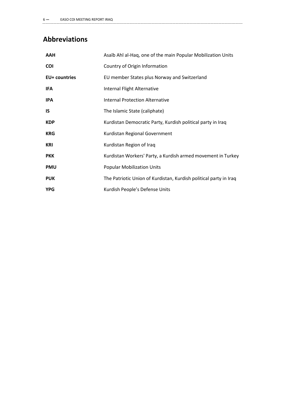## <span id="page-5-0"></span>**Abbreviations**

| <b>AAH</b>           | Asaïb Ahl al-Haq, one of the main Popular Mobilization Units      |
|----------------------|-------------------------------------------------------------------|
| <b>COI</b>           | Country of Origin Information                                     |
| <b>EU+ countries</b> | EU member States plus Norway and Switzerland                      |
| IFA.                 | Internal Flight Alternative                                       |
| <b>IPA</b>           | <b>Internal Protection Alternative</b>                            |
| <b>IS</b>            | The Islamic State (caliphate)                                     |
| <b>KDP</b>           | Kurdistan Democratic Party, Kurdish political party in Iraq       |
| <b>KRG</b>           | Kurdistan Regional Government                                     |
| <b>KRI</b>           | Kurdistan Region of Iraq                                          |
| <b>PKK</b>           | Kurdistan Workers' Party, a Kurdish armed movement in Turkey      |
| <b>PMU</b>           | <b>Popular Mobilization Units</b>                                 |
| <b>PUK</b>           | The Patriotic Union of Kurdistan, Kurdish political party in Iraq |
| <b>YPG</b>           | Kurdish People's Defense Units                                    |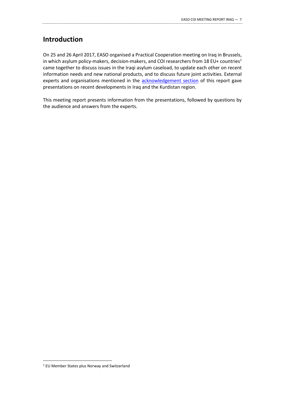## <span id="page-6-0"></span>**Introduction**

On 25 and 26 April 2017, EASO organised a Practical Cooperation meeting on Iraq in Brussels, in which asylum policy-makers, decision-makers, and COI researchers from 18 EU+ countries<sup>1</sup> came together to discuss issues in the Iraqi asylum caseload, to update each other on recent information needs and new national products, and to discuss future joint activities. External experts and organisations mentioned in the **acknowledgement section** of this report gave presentations on recent developments in Iraq and the Kurdistan region.

This meeting report presents information from the presentations, followed by questions by the audience and answers from the experts.

 $\overline{\phantom{a}}$ 

<sup>1</sup> EU Member States plus Norway and Switzerland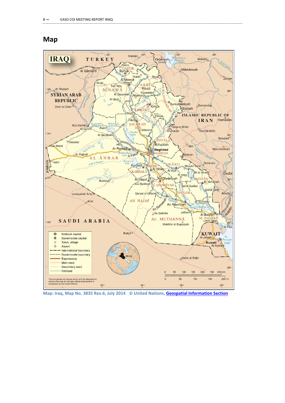

## <span id="page-7-0"></span>**Map**

**Map: Iraq, Map No. 3835 Rev.6, July 2014 © United Nations, [Geospatial Information Section](http://www.un.org/Depts/Cartographic/map/profile/iraq.pdf)**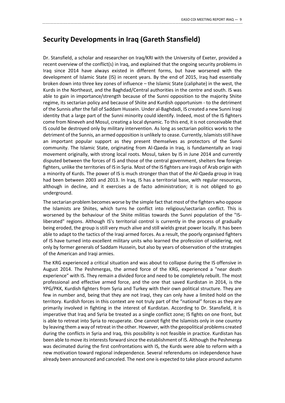## <span id="page-8-0"></span>**Security Developments in Iraq (Gareth Stansfield)**

Dr. Stansfield, a scholar and researcher on Iraq/KRI with the University of Exeter, provided a recent overview of the conflict(s) in Iraq, and explained that the ongoing security problems in Iraq since 2014 have always existed in different forms, but have worsened with the development of Islamic State (IS) in recent years. By the end of 2015, Iraq had essentially broken down into three key zones of influence – the Islamic State (caliphate) in the west, the Kurds in the Northeast, and the Baghdad/Central authorities in the centre and south. IS was able to gain in importance/strength because of the Sunni opposition to the majority Shiite regime, its sectarian policy and because of Shiite and Kurdish opportunism - to the detriment of the Sunnis after the fall of Saddam Hussein. Under al-Baghdadi, IS created a new Sunni Iraqi identity that a large part of the Sunni minority could identify. Indeed, most of the IS fighters come from Nineveh and Mosul, creating a local dynamic. To this end, it is not conceivable that IS could be destroyed only by military intervention. As long as sectarian politics works to the detriment of the Sunnis, an armed opposition is unlikely to cease. Currently, Islamists still have an important popular support as they present themselves as protectors of the Sunni community. The Islamic State, originating from Al-Qaeda in Iraq, is fundamentally an Iraqi movement originally, with strong local roots. Mosul, taken by IS in June 2014 and currently disputed between the forces of IS and those of the central government, shelters few foreign fighters, unlike the territories of IS in Syria. Most of the IS fighters are Iraqis of Arab origin with a minority of Kurds. The power of IS is much stronger than that of the Al-Qaeda group in Iraq had been between 2003 and 2013. In Iraq, IS has a territorial base, with regular resources, although in decline, and it exercises a de facto administration; it is not obliged to go underground.

The sectarian problem becomes worse by the simple fact that most of the fighters who oppose the Islamists are Shiites, which turns he conflict into religious/sectarian conflict. This is worsened by the behaviour of the Shiite militias towards the Sunni population of the "ISliberated" regions. Although IS's territorial control is currently in the process of gradually being eroded, the group is still very much alive and still wields great power locally. It has been able to adapt to the tactics of the Iraqi armed forces. As a result, the poorly organised fighters of IS have turned into excellent military units who learned the profession of soldiering, not only by former generals of Saddam Hussein, but also by years of observation of the strategies of the American and Iraqi armies.

The KRG experienced a critical situation and was about to collapse during the IS offensive in August 2014. The Peshmergas, the armed force of the KRG, experienced a "near death experience" with IS. They remain a divided force and need to be completely rebuilt. The most professional and effective armed force, and the one that saved Kurdistan in 2014, is the YPG/PKK, Kurdish fighters from Syria and Turkey with their own political structure. They are few in number and, being that they are not Iraqi, they can only have a limited hold on the territory. Kurdish forces in this context are not truly part of the "national" forces as they are primarily involved in fighting in the interest of Kurdistan. According to Dr. Stansfield, it is imperative that Iraq and Syria be treated as a single conflict zone; IS fights on one front, but is able to retreat into Syria to recuperate. One cannot fight the Islamists only in one country by leaving them a way of retreat in the other. However, with the geopolitical problems created during the conflicts in Syria and Iraq, this possibility is not feasible in practice. Kurdistan has been able to move its interests forward since the establishment of IS. Although the Peshmerga was decimated during the first confrontations with IS, the Kurds were able to reform with a new motivation toward regional independence. Several referendums on independence have already been announced and canceled. The next one is expected to take place around autumn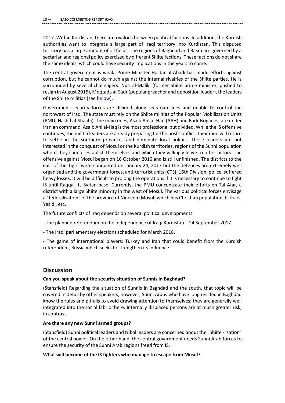2017. Within Kurdistan, there are rivalries between political factions. In addition, the Kurdish authorities want to integrate a large part of Iraqi territory into Kurdistan. This disputed territory has a large amount of oil fields. The regions of Baghdad and Basra are governed by a sectarian and regional policy exercised by different Shiite factions. These factions do not share the same ideals, which could have security implications in the years to come.

The central government is weak. Prime Minister Haidar al-Abadi has made efforts against corruption, but he cannot do much against the internal rivalries of the Shiite parties. He is surrounded by several challengers: Nuri al-Maliki (former Shiite prime minister, pushed to resign in August 2015), Moqtada al-Sadr (popular preacher and opposition leader), the leaders of the Shiite militias (see [below\)](#page-10-0).

Government security forces are divided along sectarian lines and unable to control the northwest of Iraq. The state must rely on the Shiite militias of the Popular Mobilization Units (PMU, Hashd al-Shaabi). The main ones, Asaïb Ahl al-Haq (AAH) and Badr Brigades, are under Iranian command. Asaib Ahl al-Haq is the most professional but divided. While the IS offensive continues, the militia leaders are already preparing for the post-conflict: their men will return to settle in the southern provinces and dominate local politics. These leaders are not interested in the conquest of Mosul or the Kurdish territories, regions of the Sunni population where they cannot establish themselves and which they willingly leave to other actors. The offensive against Mosul began on 16 October 2016 and is still unfinished. The districts to the east of the Tigris were conquered on January 24, 2017 but the defences are extremely well organised and the government forces, anti-terrorist units (CTS), 16th Division, police, suffered heavy losses. It will be difficult to prolong the operations if it is necessary to continue to fight IS until Raqqa, its Syrian base. Currently, the PMU concentrate their efforts on Tal Afar, a district with a large Shiite minority in the west of Mosul. The various political forces envisage a "federalisation" of the province of Nineveh (Mosul) which has Christian population districts, Yezidi, etc.

The future conflicts of Iraq depends on several political developments:

- The planned referendum on the independence of Iraqi Kurdistan 24 September 2017.
- The Iraqi parliamentary elections scheduled for March 2018.

- The game of international players: Turkey and Iran that could benefit from the Kurdish referendum, Russia which seeks to strengthen its influence.

#### <span id="page-9-0"></span>**Discussion**

#### **Can you speak about the security situation of Sunnis in Baghdad?**

(Stansfield) Regarding the situation of Sunnis in Baghdad and the south, that topic will be covered in detail by other speakers, however, Sunni Arabs who have long resided in Baghdad know the rules and pitfalls to avoid drawing attention to themselves; they are generally well integrated into the social fabric there. Internally displaced persons are at much greater risk, in contrast.

#### **Are there any new Sunni armed groups?**

(Stansfield) Sunni political leaders and tribal leaders are concerned about the "Shiite - isation" of the central power. On the other hand, the central government needs Sunni Arab forces to ensure the security of the Sunni Arab regions freed from IS.

#### **What will become of the IS fighters who manage to escape from Mosul?**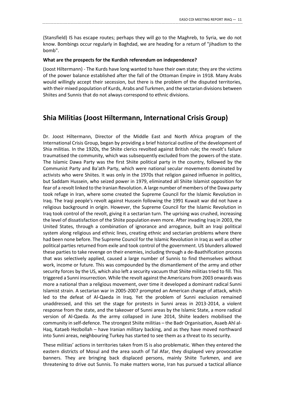(Stansfield) IS has escape routes; perhaps they will go to the Maghreb, to Syria, we do not know. Bombings occur regularly in Baghdad, we are heading for a return of "jihadism to the bomb".

#### **What are the prospects for the Kurdish referendum on independence?**

(Joost Hiltermann) - The Kurds have long wanted to have their own state; they are the victims of the power balance established after the fall of the Ottoman Empire in 1918. Many Arabs would willingly accept their secession, but there is the problem of the disputed territories, with their mixed population of Kurds, Arabs and Turkmen, and the sectarian divisions between Shiites and Sunnis that do not always correspond to ethnic divisions.

## <span id="page-10-0"></span>**Shia Militias (Joost Hiltermann, International Crisis Group)**

Dr. Joost Hiltermann, Director of the Middle East and North Africa program of the International Crisis Group, began by providing a brief historical outline of the development of Shia militias. In the 1920s, the Shiite clerics revolted against British rule; the revolt's failure traumatised the community, which was subsequently excluded from the powers of the state. The Islamic Dawa Party was the first Shiite political party in the country, followed by the Communist Party and Ba'ath Party, which were national secular movements dominated by activists who were Shiites. It was only in the 1970s that religion gained influence in politics, but Saddam Hussein, who seized power in 1979, eliminated all Shiite Islamist opposition for fear of a revolt linked to the Iranian Revolution. A large number of members of the Dawa party took refuge in Iran, where some created the Supreme Council for the Islamic Revolution in Iraq. The Iraqi people's revolt against Hussein following the 1991 Kuwait war did not have a religious background in origin. However, the Supreme Council for the Islamic Revolution in Iraq took control of the revolt, giving it a sectarian turn. The uprising was crushed, increasing the level of dissatisfaction of the Shiite population even more. After invading Iraq in 2003, the United States, through a combination of ignorance and arrogance, built an Iraqi political system along religious and ethnic lines, creating ethnic and sectarian problems where there had been none before. The Supreme Council for the Islamic Revolution in Iraq as well as other political parties returned from exile and took control of the government. US blunders allowed these parties to take revenge on their enemies, including through a de-Baathification process that was selectively applied, caused a large number of Sunnis to find themselves without work, income or future. This was compounded by the dismantlement of the army and other security forces by the US, which also left a security vacuum that Shiite militias tried to fill. This triggered a Sunni insurrection. While the revolt against the Americans from 2003 onwards was more a national than a religious movement, over time it developed a dominant radical Sunni Islamist strain. A sectarian war in 2005-2007 prompted an American change of attack, which led to the defeat of Al-Qaeda in Iraq. Yet the problem of Sunni exclusion remained unaddressed, and this set the stage for protests in Sunni areas in 2013-2014, a violent response from the state, and the takeover of Sunni areas by the Islamic State, a more radical version of Al-Qaeda. As the army collapsed in June 2014, Shiite leaders mobilised the community in self-defence. The strongest Shiite militias – the Badr Organisation, Asaeb Ahl al-Haq, Kataeb Hezbollah – have Iranian military backing, and as they have moved northward into Sunni areas, neighbouring Turkey has started to see them as a threat to its security.

These militias' actions in territories taken from IS is also problematic. When they entered the eastern districts of Mosul and the area south of Tal Afar, they displayed very provocative banners. They are bringing back displaced persons, mainly Shiite Turkmen, and are threatening to drive out Sunnis. To make matters worse, Iran has pursued a tactical alliance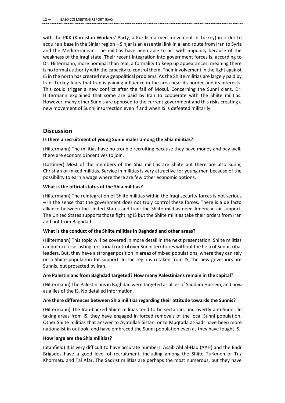with the PKK (Kurdistan Workers' Party, a Kurdish armed movement in Turkey) in order to acquire a base in the Sinjar region – Sinjar is an essential link in a land route from Iran to Syria and the Mediterranean. The militias have been able to act with impunity because of the weakness of the Iraqi state. Their recent integration into government forces is, according to Dr. Hiltermann, more nominal than real, a formality to keep up appearances; meaning there is no formal authority with the capacity to control them. Their involvement in the fight against IS in the north has created new geopolitical problems. As the Shiite militias are largely paid by Iran, Turkey fears that Iran is gaining influence in the area near its border and its interests. This could trigger a new conflict after the fall of Mosul. Concerning the Sunni clans, Dr. Hiltermann explained that some are paid by Iran to cooperate with the Shiite militias. However, many other Sunnis are opposed to the current government and this risks creating a new movement of Sunni insurrection even if and when IS is defeated militarily.

#### <span id="page-11-0"></span>**Discussion**

#### **Is there a recruitment of young Sunni males among the Shia militias?**

(Hiltermann) The militias have no trouble recruiting because they have money and pay well; there are economic incentives to join.

(Lattimer) Most of the members of the Shia militias are Shiite but there are also Sunni, Christian or mixed militias. Service in militias is very attractive for young men because of the possibility to earn a wage where there are few other economic options.

#### **What is the official status of the Shia militias?**

(Hiltermann) The reintegration of Shiite militias within the Iraqi security forces is not serious – in the sense that the government does not truly control these forces. There is a de facto alliance between the United States and Iran: the Shiite militias need American air support. The United States supports those fighting IS but the Shiite militias take their orders from Iran and not from Baghdad.

#### **What is the conduct of the Shiite militias in Baghdad and other areas?**

(Hiltermann) This topic will be covered in more detail in the next presentation. Shiite militias cannot exercise lasting territorial control over Sunni territories without the help of Sunni tribal leaders. But, they have a stronger position in areas of mixed populations, where they can rely on a Shiite population for support. In the regions retaken from IS, the new governors are Sunnis, but protected by Iran.

#### **Are Palestinians from Baghdad targeted? How many Palestinians remain in the capital?**

(Hiltermann) The Palestinians in Baghdad were targeted as allies of Saddam Hussein, and now as allies of the IS. No detailed information.

#### **Are there differences between Shia militias regarding their attitude towards the Sunnis?**

(Hiltermann) The Iran-backed Shiite militias tend to be sectarian, and overtly anti-Sunni. In taking areas from IS, they have engaged in forced removals of the local Sunni population. Other Shiite militias that answer to Ayatollah Sistani or to Muqtada al-Sadr have been more nationalist in outlook, and have embraced the Sunni population even as they have fought IS.

#### **How large are the Shia militias?**

(Stanfield) It is very difficult to have accurate numbers. Asaib Ahl al-Haq (AAH) and the Badr Brigades have a good level of recruitment, including among the Shiite Turkmen of Tuz Khormatu and Tal Afar. The Sadrist militias are perhaps the most numerous, but they have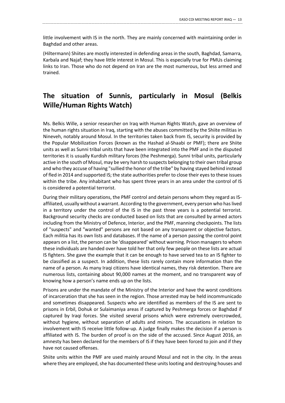little involvement with IS in the north. They are mainly concerned with maintaining order in Baghdad and other areas.

(Hiltermann) Shiites are mostly interested in defending areas in the south, Baghdad, Samarra, Karbala and Najaf; they have little interest in Mosul. This is especially true for PMUs claiming links to Iran. Those who do not depend on Iran are the most numerous, but less armed and trained.

## <span id="page-12-0"></span>**The situation of Sunnis, particularly in Mosul (Belkis Wille/Human Rights Watch)**

Ms. Belkis Wille, a senior researcher on Iraq with Human Rights Watch, gave an overview of the human rights situation in Iraq, starting with the abuses committed by the Shiite militias in Nineveh, notably around Mosul. In the territories taken back from IS, security is provided by the Popular Mobilization Forces (known as the Hashad al-Shaabi or PMF); there are Shiite units as well as Sunni tribal units that have been integrated into the PMF and in the disputed territories it is usually Kurdish military forces (the Peshmerga). Sunni tribal units, particularly active in the south of Mosul, may be very harsh to suspects belonging to their own tribal group and who they accuse of having "sullied the honor of the tribe" by having stayed behind instead of fled in 2014 and supported IS; the state authorities prefer to close their eyes to these issues within the tribe. Any inhabitant who has spent three years in an area under the control of IS is considered a potential terrorist.

During their military operations, the PMF control and detain persons whom they regard as ISaffiliated, usually without a warrant. According to the government, every person who has lived in a territory under the control of the IS in the past three years is a potential terrorist. Background security checks are conducted based on lists that are consulted by armed actors including from the Ministry of Defence, Interior, and the PMF, manning checkpoints. The lists of "suspects" and "wanted" persons are not based on any transparent or objective factors. Each militia has its own lists and databases. If the name of a person passing the control point appears on a list, the person can be 'disappeared' without warning. Prison managers to whom these individuals are handed over have told her that only few people on these lists are actual IS fighters. She gave the example that it can be enough to have served tea to an IS fighter to be classified as a suspect. In addition, these lists rarely contain more information than the name of a person. As many Iraqi citizens have identical names, they risk detention. There are numerous lists, containing about 90,000 names at the moment, and no transparent way of knowing how a person's name ends up on the lists.

Prisons are under the mandate of the Ministry of the Interior and have the worst conditions of incarceration that she has seen in the region. Those arrested may be held incommunicado and sometimes disappeared. Suspects who are identified as members of the IS are sent to prisons in Erbil, Dohuk or Sulaimaniya areas if captured by Peshmerga forces or Baghdad if captured by Iraqi forces. She visited several prisons which were extremely overcrowded, without hygiene, without separation of adults and minors. The accusations in relation to involvement with IS receive little follow-up. A judge finally makes the decision if a person is affiliated with IS. The burden of proof is on the side of the accused. Since August 2016, an amnesty has been declared for the members of IS if they have been forced to join and if they have not caused offenses.

Shiite units within the PMF are used mainly around Mosul and not in the city. In the areas where they are employed, she has documented these units looting and destroying houses and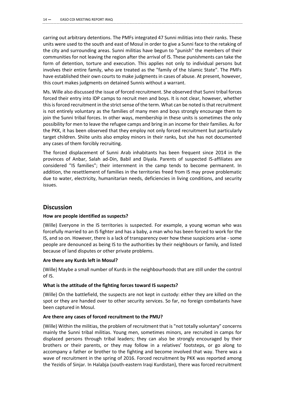carring out arbitrary detentions. The PMFs integrated 47 Sunni militias into their ranks. These units were used to the south and east of Mosul in order to give a Sunni face to the retaking of the city and surrounding areas. Sunni militias have begun to "punish" the members of their communities for not leaving the region after the arrival of IS. These punishments can take the form of detention, torture and execution. This applies not only to individual persons but involves their entire family, who are treated as the "family of the Islamic State". The PMFs have established their own courts to make judgments in cases of abuse. At present, however, this court makes judgments on detained Sunnis without a warrant.

Ms. Wille also discussed the issue of forced recruitment. She observed that Sunni tribal forces forced their entry into IDP camps to recruit men and boys. It is not clear, however, whether this is forced recruitment in the strict sense of the term. What can be noted is that recruitment is not entirely voluntary as the families of many men and boys strongly encourage them to join the Sunni tribal forces. In other ways, membership in these units is sometimes the only possibility for men to leave the refugee camps and bring in an income for their families. As for the PKK, it has been observed that they employ not only forced recruitment but particularly target children. Shiite units also employ minors in their ranks, but she has not documented any cases of them forcibly recruiting.

The forced displacement of Sunni Arab inhabitants has been frequent since 2014 in the provinces of Anbar, Salah ad-Din, Babil and Diyala. Parents of suspected IS-affiliates are considered "IS families"; their internment in the camp tends to become permanent. In addition, the resettlement of families in the territories freed from IS may prove problematic due to water, electricity, humanitarian needs, deficiencies in living conditions, and security issues.

#### <span id="page-13-0"></span>**Discussion**

#### **How are people identified as suspects?**

(Wille) Everyone in the IS territories is suspected. For example, a young woman who was forcefully married to an IS fighter and has a baby, a man who has been forced to work for the IS, and so on. However, there is a lack of transparency over how these suspicions arise - some people are denounced as being IS to the authorities by their neighbours or family, and listed because of land disputes or other private problems.

#### **Are there any Kurds left in Mosul?**

(Wille) Maybe a small number of Kurds in the neighbourhoods that are still under the control of IS.

#### **What is the attitude of the fighting forces toward IS suspects?**

(Wille) On the battlefield, the suspects are not kept in custody: either they are killed on the spot or they are handed over to other security services. So far, no foreign combatants have been captured in Mosul.

#### **Are there any cases of forced recruitment to the PMU?**

(Wille) Within the militias, the problem of recruitment that is "not totally voluntary" concerns mainly the Sunni tribal militias. Young men, sometimes minors, are recruited in camps for displaced persons through tribal leaders; they can also be strongly encouraged by their brothers or their parents, or they may follow in a relatives' footsteps, or go along to accompany a father or brother to the fighting and become involved that way. There was a wave of recruitment in the spring of 2016. Forced recruitment by PKK was reported among the Yezidis of Sinjar. In Halabja (south-eastern Iraqi Kurdistan), there was forced recruitment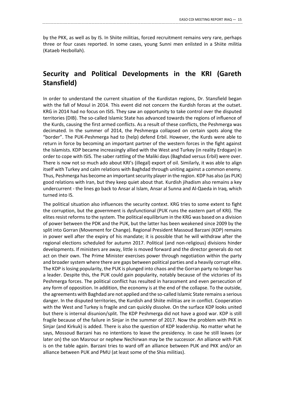by the PKK, as well as by IS. In Shiite militias, forced recruitment remains very rare, perhaps three or four cases reported. In some cases, young Sunni men enlisted in a Shiite militia (Kataeb Hezbollah).

## <span id="page-14-0"></span>**Security and Political Developments in the KRI (Gareth Stansfield)**

In order to understand the current situation of the Kurdistan regions, Dr. Stansfield began with the fall of Mosul in 2014. This event did not concern the Kurdish forces at the outset. KRG in 2014 had no focus on ISIS. They saw an opportunity to take control over the disputed territories (DIB). The so-called Islamic State has advanced towards the regions of influence of the Kurds, causing the first armed conflicts. As a result of these conflicts, the Peshmerga was decimated. In the summer of 2014, the Peshmerga collapsed on certain spots along the "border". The PUK-Peshmerga had to (help) defend Erbil. However, the Kurds were able to return in force by becoming an important partner of the western forces in the fight against the Islamists. KDP became increasingly allied with the West and Turkey (in reality Erdogan) in order to cope with ISIS. The saber rattling of the Maliki days (Baghdad versus Erbil) were over. There is now not so much ado about KRI's (illegal) export of oil. Similarly, it was able to align itself with Turkey and calm relations with Baghdad through uniting against a common enemy. Thus, Peshmerga has become an important security player in the region. KDP has also (as PUK) good relations with Iran, but they keep quiet about that. Kurdish jihadism also remains a key undercurrent - the lines go back to Ansar al Islam, Ansar al Sunna and Al-Qaeda in Iraq, which turned into IS.

The political situation also influences the security context. KRG tries to some extent to fight the corruption, but the government is dysfunctional (PUK runs the eastern part of KRI). The elites resist reforms to the system. The political equilibrium in the KRG was based on a division of power between the PDK and the PUK, but the latter has been weakened since 2009 by the split into Gorran (Movement for Change). Regional President Massoud Barzani (KDP) remains in power well after the expiry of his mandate; it is possible that he will withdraw after the regional elections scheduled for autumn 2017. Political (and non-religious) divisions hinder developments. If ministers are away, little is moved forward and the director generals do not act on their own. The Prime Minister exercises power through negotiation within the party and broader system where there are gaps between political parties and a heavily corrupt elite. The KDP is losing popularity, the PUK is plunged into chaos and the Gorran party no longer has a leader. Despite this, the PUK could gain popularity, notably because of the victories of its Peshmerga forces. The political conflict has resulted in harassment and even persecution of any form of opposition. In addition, the economy is at the end of the collapse. To the outside, the agreements with Baghdad are not applied and the so-called Islamic State remains a serious danger. In the disputed territories, the Kurdish and Shiite militias are in conflict. Cooperation with the West and Turkey is fragile and can quickly dissolve. On the surface KDP looks united but there is internal disunion/split. The KDP Peshmerga did not have a good war. KDP is still fragile because of the failure in Sinjar in the summer of 2017. Now the problem with PKK in Sinjar (and Kirkuk) is added. There is also the question of KDP leadership. No matter what he says, Mossoud Barzani has no intentions to leave the presidency. In case he still leaves (or later on) the son Masrour or nephew Nechirwan may be the successor. An alliance with PUK is on the table again. Barzani tries to ward off an alliance between PUK and PKK and/or an alliance between PUK and PMU (at least some of the Shia militias).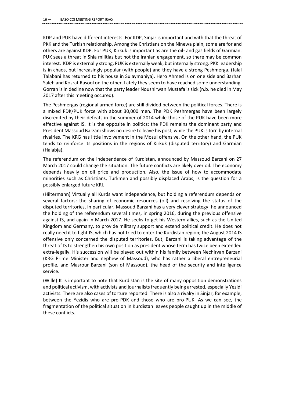KDP and PUK have different interests. For KDP, Sinjar is important and with that the threat of PKK and the Turkish relationship. Among the Christians on the Ninewa plain, some are for and others are against KDP. For PUK, Kirkuk is important as are the oil- and gas fields of Garmian. PUK sees a threat in Shia militias but not the Iranian engagement, so there may be common interest. KDP is externally strong, PUK is externally weak, but internally strong. PKK leadership is in chaos, but increasingly popular (with people) and they have a strong Peshmerga. (Jalal Talabani has returned to his house in Sulaymaniya). Hero Ahmed is on one side and Barhan Saleh and Kosrat Rasool on the other. Lately they seem to have reached some understanding. Gorran is in decline now that the party leader Noushirwan Mustafa is sick (n.b. he died in May 2017 after this meeting occured).

The Peshmergas (regional armed force) are still divided between the political forces. There is a mixed PDK/PUK force with about 30,000 men. The PDK Peshmergas have been largely discredited by their defeats in the summer of 2014 while those of the PUK have been more effective against IS. It is the opposite in politics: the PDK remains the dominant party and President Massoud Barzani shows no desire to leave his post, while the PUK is torn by internal rivalries. The KRG has little involvement in the Mosul offensive. On the other hand, the PUK tends to reinforce its positions in the regions of Kirkuk (disputed territory) and Garmian (Halabja).

The referendum on the independence of Kurdistan, announced by Massoud Barzani on 27 March 2017 could change the situation. The future conflicts are likely over oil. The economy depends heavily on oil price and production. Also, the issue of how to accommodate minorities such as Christians, Turkmen and possibly displaced Arabs, is the question for a possibly enlarged future KRI.

(Hiltermann) Virtually all Kurds want independence, but holding a referendum depends on several factors: the sharing of economic resources (oil) and resolving the status of the disputed territories, in particular. Massoud Barzani has a very clever strategy: he announced the holding of the referendum several times, in spring 2016, during the previous offensive against IS, and again in March 2017. He seeks to get his Western allies, such as the United Kingdom and Germany, to provide military support and extend political credit. He does not really need it to fight IS, which has not tried to enter the Kurdistan region; the August 2014 IS offensive only concerned the disputed territories. But, Barzani is taking advantage of the threat of IS to strengthen his own position as president whose term has twice been extended extra-legally. His succession will be played out within his family between Nechirvan Barzani (KRG Prime Minister and nephew of Massoud), who has rather a liberal entrepreneurial profile, and Masrour Barzani (son of Massoud), the head of the security and intelligence service.

(Wille) It is important to note that Kurdistan is the site of many opposition demonstrations and political activism, with activists and journalists frequently being arrested, especially Yezidi activists. There are also cases of torture reported. There is also a rivalry in Sinjar, for example, between the Yezidis who are pro-PDK and those who are pro-PUK. As we can see, the fragmentation of the political situation in Kurdistan leaves people caught up in the middle of these conflicts.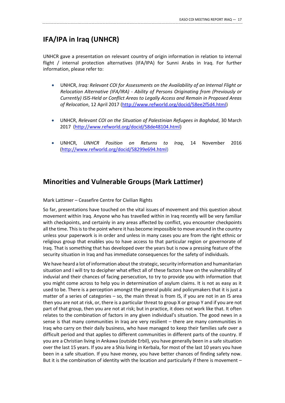## <span id="page-16-0"></span>**IFA/IPA in Iraq (UNHCR)**

UNHCR gave a presentation on relevant country of origin information in relation to internal flight / internal protection alternatives (IFA/IPA) for Sunni Arabs in Iraq. For further information, please refer to:

- UNHCR, *Iraq: Relevant COI for Assessments on the Availability of an Internal Flight or Relocation Alternative (IFA/IRA) - Ability of Persons Originating from (Previously or Currently) ISIS-Held or Conflict Areas to Legally Access and Remain in Proposed Areas of Relocation*, 12 April 2017 [\(http://www.refworld.org/docid/58ee2f5d4.html\)](http://www.refworld.org/docid/58ee2f5d4.html)
- UNHCR, *Relevant COI on the Situation of Palestinian Refugees in Baghdad*, 30 March 2017 [\(http://www.refworld.org/docid/58de48104.html\)](http://www.refworld.org/docid/58de48104.html)
- UNHCR, *UNHCR Position on Returns to Iraq*, 14 November 2016 [\(http://www.refworld.org/docid/58299e694.html\)](http://www.refworld.org/docid/58299e694.html)

## <span id="page-16-1"></span>**Minorities and Vulnerable Groups (Mark Lattimer)**

#### Mark Lattimer – Ceasefire Centre for Civilian Rights

So far, presentations have touched on the vital issues of movement and this question about movement within Iraq. Anyone who has travelled within in Iraq recently will be very familiar with checkpoints, and certainly in any areas affected by conflict, you encounter checkpoints all the time. This is to the point where it has become impossible to move around in the country unless your paperwork is in order and unless in many cases you are from the right ethnic or religious group that enables you to have access to that particular region or governorate of Iraq. That is something that has developed over the years but is now a pressing feature of the security situation in Iraq and has immediate consequences for the safety of individuals.

We have heard a lot of information about the strategic, security information and humanitarian situation and I will try to decipher what effect all of these factors have on the vulnerability of induvial and their chances of facing persecution, to try to provide you with information that you might come across to help you in determination of asylum claims. It is not as easy as it used to be. There is a perception amongst the general public and policymakers that it is just a matter of a series of categories  $-$  so, the main threat is from IS, if you are not in an IS area then you are not at risk, or, there is a particular threat to group X or group Y and if you are not part of that group, then you are not at risk; but in practice, it does not work like that. It often relates to the combination of factors in any given individual's situation. The good news in a sense is that many communities in Iraq are very resilient – there are many communities in Iraq who carry on their daily business, who have managed to keep their families safe over a difficult period and that applies to different communities in different parts of the country. If you are a Christian living in Ankawa (outside Erbil), you have generally been in a safe situation over the last 15 years. If you are a Shia living in Kerbala, for most of the last 10 years you have been in a safe situation. If you have money, you have better chances of finding safety now. But it is the combination of identity with the location and particularly if there is movement –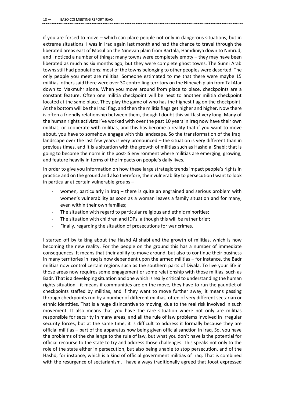if you are forced to move – which can place people not only in dangerous situations, but in extreme situations. I was in Iraq again last month and had the chance to travel through the liberated areas east of Mosul on the Ninevah plain from Bartala, Hamdiniya down to Nimrud, and I noticed a number of things: many towns were completely empty – they may have been liberated as much as six months ago, but they were complete ghost towns. The Sunni Arab towns still had populations; most of the towns belonging to other peoples were deserted. The only people you meet are militias. Someone estimated to me that there were maybe 15 militias, others said there were over 30 controlling territory on the Nineveh plain from Tal Afar down to Makmuhr alone. When you move around from place to place, checkpoints are a constant feature. Often one militia checkpoint will be next to another militia checkpoint located at the same place. They play the game of who has the highest flag on the checkpoint. At the bottom will be the Iraqi flag, and then the militia flags get higher and higher. Now there is often a friendly relationship between them, though I doubt this will last very long. Many of the human rights activists I've worked with over the past 10 years in Iraq now have their own militias, or cooperate with militias, and this has become a reality that if you want to move about, you have to somehow engage with this landscape. So the transformation of the Iraqi landscape over the last few years is very pronounced  $-$  the situation is very different than in previous times, and it is a situation with the growth of militias such as Hashd al Shabi; that is going to become the norm in the post-IS environment where militias are emerging, growing, and feature heavily in terms of the impacts on people's daily lives.

In order to give you information on how these large strategic trends impact people's rights in practice and on the ground and also therefore, their vulnerability to persecution I want to look in particular at certain vulnerable groups –

- women, particularly in Iraq  $-$  there is quite an engrained and serious problem with women's vulnerability as soon as a woman leaves a family situation and for many, even within their own families;
- The situation with regard to particular religious and ethnic minorities;
- The situation with children and IDPs, although this will be rather brief;
- Finally, regarding the situation of prosecutions for war crimes.

I started off by talking about the Hashd Al shabi and the growth of militias, which is now becoming the new reality. For the people on the ground this has a number of immediate consequences. It means that their ability to move around, but also to continue their business in many territories in Iraq is now dependent upon the armed militias – for instance, the Badr militias now control certain regions such as the southern parts of Diyala. To live your life in those areas now requires some engagement or some relationship with those miltias, such as Badr. That is a developing situation and one which is really critical to understanding the human rights situation - it means if communities are on the move, they have to run the gauntlet of checkpoints staffed by militias, and if they want to move further away, it means passing through checkpoints run by a number of different militias, often of very different sectarian or ethnic identities. That is a huge disincentive to moving, due to the real risk involved in such movement. It also means that you have the rare situation where not only are militias responsible for security in many areas, and all the rule of law problems involved in irregular security forces, but at the same time, it is difficult to address it formally because they are official militias – part of the apparatus now being given official sanction in Iraq. So, you have the problems of the challenge to the rule of law, but what you don't have is the potential for official recourse to the state to try and address those challenges. This speaks not only to the role of the state either in persecution, but also being unable to stop persecution, and of the Hashd, for instance, which is a kind of official government militias of Iraq. That is combined with the resurgence of sectarianism. I have always traditionally agreed that Joost expressed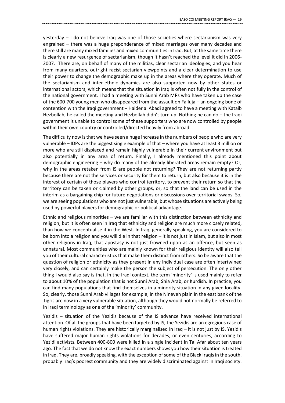yesterday – I do not believe Iraq was one of those societies where sectarianism was very engrained – there was a huge preponderance of mixed marriages over many decades and there still are many mixed families and mixed communities in Iraq. But, at the same time there is clearly a new resurgence of sectarianism, though it hasn't reached the level it did in 2006- 2007. There are, on behalf of many of the militias, clear sectarian ideologies, and you hear from many quarters, outright racist sectarian viewpoints and a clear determination to use their power to change the demographic make up in the areas where they operate. Much of the sectarianism and inter-ethnic dynamics are also supported now by other states or international actors, which means that the situation in Iraq is often not fully in the control of the national government. I had a meeting with Sunni Arab MPs who have taken up the case of the 600-700 young men who disappeared from the assault on Falluja – an ongoing bone of contention with the Iraqi government – Haider al Abadi agreed to have a meeting with Kataib Hezbollah, he called the meeting and Hezbollah didn't turn up. Nothing he can do – the Iraqi government is unable to control some of these supporters who are now controlled by people within their own country or controlled/directed heavily from abroad.

The difficulty now is that we have seen a huge increase in the numbers of people who are very vulnerable – IDPs are the biggest single example of that – where you have at least 3 million or more who are still displaced and remain highly vulnerable in their current environment but also potentially in any area of return. Finally, I already mentioned this point about demographic engineering – why do many of the already liberated areas remain empty? Or, why in the areas retaken from IS are people not returning? They are not returning partly because there are not the services or security for them to return, but also because it is in the interest of certain of those players who control territory, to prevent their return so that the territory can be taken or claimed by other groups, or, so that the land can be used in the interim as a bargaining chip for future negotiations or discussions over territorial swaps. So, we are seeing populations who are not just vulnerable, but whose situations are actively being used by powerful players for demographic or political advantage.

Ethnic and religious minorities – we are familiar with this distinction between ethnicity and religion, but it is often seen in Iraq that ethnicity and religion are much more closely related, than how we conceptualise it in the West. In Iraq, generally speaking, you are considered to be born into a religion and you will die in that religion – it is not just in Islam, but also in most other religions in Iraq, that apostasy is not just frowned upon as an offence, but seen as unnatural. Most communities who are mainly known for their religious identity will also tell you of their cultural characteristics that make them distinct from others. So be aware that the question of religion or ethnicity as they present in any individual case are often intertwined very closely, and can certainly make the person the subject of persecution. The only other thing I would also say is that, in the Iraqi context, the term 'minority' is used mainly to refer to about 10% of the population that is not Sunni Arab, Shia Arab, or Kurdish. In practice, you can find many populations that find themselves in a minority situation in any given locality. So, clearly, those Sunni Arab villages for example, in the Nineveh plain in the east bank of the Tigris are now in a very vulnerable situation, although they would not normally be referred to in Iraqi terminology as one of the 'minority' community.

Yezidis – situation of the Yezidis because of the IS advance have received international attention. Of all the groups that have been targeted by IS, the Yezidis are an egregious case of human rights violations. They are historically marginalised in Iraq – it is not just by IS. Yezidis have suffered major human rights violations for decades, or even centuries, according to Yezidi activists. Between 400-800 were killed in a single incident in Tal Afar about ten years ago. The fact that we do not know the exact numbers shows you how their situation is treated in Iraq. They are, broadly speaking, with the exception of some of the Black Iraqis in the south, probably Iraq's poorest community and they are widely discriminated against in Iraqi society.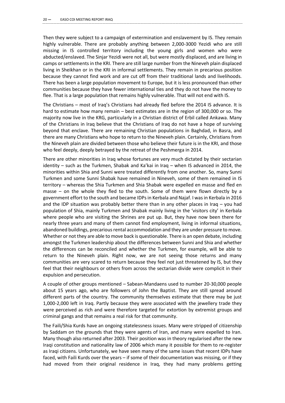Then they were subject to a campaign of extermination and enslavement by IS. They remain highly vulnerable. There are probably anything between 2,000-3000 Yezidi who are still missing in IS controlled territory including the young girls and women who were abducted/enslaved. The Sinjar Yezidi were not all, but were mostly displaced, and are living in camps or settlements in the KRI. There are still large number from the Nineveh plain displaced living in Sheikhan or in the KRI in informal settlements. They remain in precarious position because they cannot find work and are cut off from their traditional lands and livelihoods. There has been a large population movement to Europe, but it is less pronounced than other communities because they have fewer international ties and they do not have the money to flee. That is a large population that remains highly vulnerable. That will not end with IS.

The Christians – most of Iraq's Christians had already fled before the 2014 IS advance. It is hard to estimate how many remain – best estimates are in the region of 300,000 or so. The majority now live in the KRG, particularly in a Christian district of Erbil called Ankawa. Many of the Christians in Iraq believe that the Christians of Iraq do not have a hope of surviving beyond that enclave. There are remaining Christian populations in Baghdad, in Basra, and there are many Christians who hope to return to the Nineveh plain. Certainly, Christians from the Nineveh plain are divided between those who believe their future is in the KRI, and those who feel deeply, deeply betrayed by the retreat of the Peshmerga in 2014.

There are other minorities in Iraq whose fortunes are very much dictated by their sectarian identity – such as the Turkmen, Shabak and Ka'kai in Iraq – when IS advanced in 2014, the minorities within Shia and Sunni were treated differently from one another. So, many Sunni Turkmen and some Sunni Shabak have remained in Nineveh, some of them remained in IS territory – whereas the Shia Turkmen and Shia Shabak were expelled en masse and fled en masse – on the whole they fled to the south. Some of them were flown directly by a government effort to the south and became IDPs in Kerbala and Najaf. I was in Kerbala in 2016 and the IDP situation was probably better there than in any other places in Iraq – you had population of Shia, mainly Turkmen and Shabak mainly living in the 'visitors city' in Kerbala where people who are visiting the Shrines are put up. But, they have now been there for nearly three years and many of them cannot find employment, living in informal situations, abandoned buildings, precarious rental accommodation and they are under pressure to move. Whether or not they are able to move back is questionable. There is an open debate, including amongst the Turkmen leadership about the differences between Sunni and Shia and whether the differences can be reconciled and whether the Turkmen, for example, will be able to return to the Nineveh plain. Right now, we are not seeing those returns and many communities are very scared to return because they feel not just threatened by IS, but they feel that their neighbours or others from across the sectarian divide were complicit in their expulsion and persecution.

A couple of other groups mentioned – Sabean-Mandaens used to number 20-30,000 people about 15 years ago, who are followers of John the Baptist. They are still spread around different parts of the country. The community themselves estimate that there may be just 1,000-2,000 left in Iraq. Partly because they were associated with the jewellery trade they were perceived as rich and were therefore targeted for extortion by extremist groups and criminal gangs and that remains a real risk for that community.

The Faili/Shia Kurds have an ongoing statelessness issues. Many were stripped of citizenship by Saddam on the grounds that they were agents of Iran, and many were expelled to Iran. Many though also returned after 2003. Their position was in theory regularised after the new Iraqi constitution and nationality law of 2006 which many it possible for them to re-register as Iraqi citizens. Unfortunately, we have seen many of the same issues that recent IDPs have faced, with Faili Kurds over the years – if some of their documentation was missing, or if they had moved from their original residence in Iraq, they had many problems getting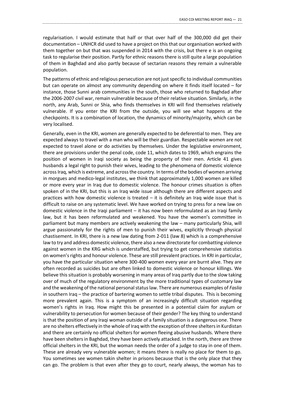regularisation. I would estimate that half or that over half of the 300,000 did get their documentation – UNHCR did used to have a project on this that our organisation worked with them together on but that was suspended in 2014 with the crisis, but there e is an ongoing task to regularise their position. Partly for ethnic reasons there is still quite a large population of them in Baghdad and also partly because of sectarian reasons they remain a vulnerable population.

The patterns of ethnic and religious persecution are not just specific to individual communities but can operate on almost any community depending on where it finds itself located – for instance, those Sunni arab communities in the south, those who returned to Baghdad after the 2006-2007 civil war, remain vulnerable because of their relative situation. Similarly, in the north, any Arab, Sunni or Shia, who finds themselves in KRI will find themselves relatively vulnerable. If you enter the KRI from the outside, you will see what happens at the checkpoints. It is a combination of location, the dynamics of minority/majority, which can be very localised.

Generally, even in the KRI, women are generally expected to be deferential to men. They are expected always to travel with a man who will be their guardian. Respectable women are not expected to travel alone or do activities by themselves. Under the legislative environment, there are provisions under the penal code, code 11, which dates to 1969, which engrains the position of women in Iraqi society as being the property of their men. Article 41 gives husbands a legal right to punish their wives, leading to the phenomena of domestic violence across Iraq, which is extreme, and across the country. In terms of the bodies of women arriving in morgues and medico-legal institutes, we think that approximately 1,000 women are killed or more every year in Iraq due to domestic violence. The honour crimes situation is often spoken of in the KRI, but this is an Iraq wide issue although there are different aspects and practices with how domestic violence is treated – it is definitely an Iraq wide issue that is difficult to raise on any systematic level. We have worked on trying to press for a new law on domestic violence in the Iraqi parliament – it has now been reformulated as an Iraqi family law, but it has been reformulated and weakened. You have the women's committee in parliament but many members are actively weakening the law – many particularly Shia, will argue passionately for the rights of men to punish their wives, explicitly through physical chastisement. In KRI, there is a new law dating from 2-011 (law 8) which is a comprehensive law to try and address domestic violence, there also a new directorate for combatting violence against women in the KRG which is understaffed, but trying to get comprehensive statistics on women's rights and honour violence. These are still prevalent practices. In KRI in particular, you have the particular situation where 300-400 women every year are burnt alive. They are often recorded as suicides but are often linked to domestic violence or honour killings. We believe this situation is probably worsening in many areas of Iraq partly due to the slow taking over of much of the regulatory environment by the more traditional types of customary law and the weakening of the national personal status law. There are numerous examples of *Faslia* in southern Iraq – the practice of bartering women to settle tribal disputes. This is becoming more prevalent again. This is a symptom of an increasingly difficult situation regarding women's rights in Iraq. How might this be presented in a potential claim for asylum or vulnerability to persecution for women because of their gender? The key thing to understand is that the position of any Iraqi woman outside of a family situation is a dangerous one. There are no shelters effectively in the whole of Iraq with the exception of three shelters in Kurdistan and there are certainly no official shelters for women fleeing abusive husbands. Where there have been shelters in Baghdad, they have been actively attacked. In the north, there are three official shelters in the KRI, but the woman needs the order of a judge to stay in one of them. These are already very vulnerable women; it means there is really no place for them to go. You sometimes see women takin shelter in prisons because that is the only place that they can go. The problem is that even after they go to court, nearly always, the woman has to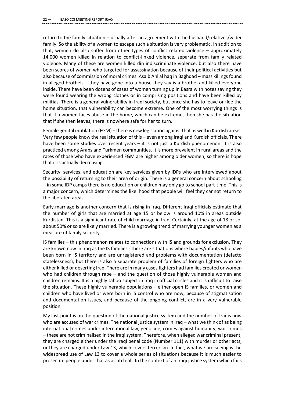return to the family situation – usually after an agreement with the husband/relatives/wider family. So the ability of a women to escape such a situation is very problematic. In addition to that, women do also suffer from other types of conflict related violence – approximately 14,000 women killed in relation to conflict-linked violence, separate from family related violence. Many of these are women killed din indiscriminate violence, but also there have been scores of women who targeted for assassination because of their political activities but also because of commission of moral crimes. Asaib Ahl al haq in Baghdad – mass killings found in alleged brothels – they have gone into a house they say is a brothel and killed everyone inside. There have been dozens of cases of women turning up in Basra with notes saying they were found wearing the wrong clothes or in comprising positions and have been killed by militias. There is a general vulnerability in Iraqi society, but once she has to leave or flee the home situation, that vulnerability can become extreme. One of the most worrying things is that if a women faces abuse in the home, which can be extreme, then she has the situation that if she then leaves, there is nowhere safe for her to turn.

Female genital mutilation (FGM) – there is new legislation against that as well in Kurdish areas. Very few people know the real situation of this – even among Iraqi and Kurdish officials. There have been some studies over recent years – it is not just a Kurdish phenomenon. It is also practiced among Arabs and Turkmen communities. It is more prevalent in rural areas and the rates of those who have experienced FGM are higher among older women, so there is hope that it is actually decreasing.

Security, services, and education are key services given by IDPs who are interviewed about the possibility of returning to their area of origin. There is a general concern about schooling – in some IDP camps there is no education or children may only go to school part-time. This is a major concern, which determines the likelihood that people will feel they cannot return to the liberated areas.

Early marriage is another concern that is rising in Iraq. Different Iraqi officials estimate that the number of girls that are married at age 15 or below is around 10% in areas outside Kurdistan. This is a significant rate of child marriage in Iraq. Certainly, at the age of 18 or so, about 50% or so are likely married. There is a growing trend of marrying younger women as a measure of family security.

IS families – this phenomenon relates to connections with IS and grounds for exclusion. They are known now in Iraq as the IS families - there are situations where babies/infants who have been born in IS territory and are unregistered and problems with documentation (defacto statelessness), but there is also a separate problem of families of foreign fighters who are either killed or deserting Iraq. There are in many cases fighters had families created or women who had children through rape – and the question of those highly vulnerable women and children remains. It is a highly taboo subject in Iraq in official circles and it is difficult to raise the situation. These highly vulnerable populations – either open IS families, or women and children who have lived or were born in IS control who are now, because of stigmatisation and documentation issues, and because of the ongoing conflict, are in a very vulnerable position.

My last point is on the question of the national justice system and the number of Iraqis now who are accused of war crimes. The national justice system in Iraq – what we think of as being international crimes under international law, genocide, crimes against humanity, war crimes – these are not criminalised in the Iraqi system. Therefore, when alleged war criminal present, they are charged either under the Iraqi penal code (Number 111) with murder or other acts, or they are charged under Law 13, which covers terrorism. In fact, what we are seeing is the widespread use of Law 13 to cover a whole series of situations because it is much easier to prosecute people under that as a catch-all. In the context of an Iraqi justice system which fails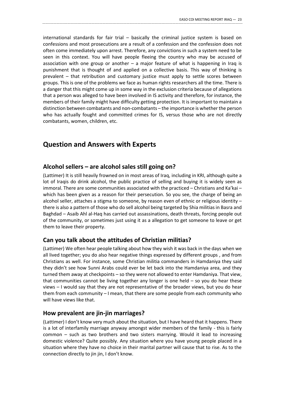international standards for fair trial – basically the criminal justice system is based on confessions and most prosecutions are a result of a confession and the confession does not often come immediately upon arrest. Therefore, any convictions in such a system need to be seen in this context. You will have people fleeing the country who may be accused of association with one group or another  $-$  a major feature of what is happening in Iraq is punishment that is thought of and applied on a collective basis. This way of thinking is prevalent – that retribution and customary justice must apply to settle scores between groups. This is one of the problems we face as human rights researchers all the time. There is a danger that this might come up in some way in the exclusion criteria because of allegations that a person was alleged to have been involved in IS activity and therefore, for instance, the members of their family might have difficulty getting protection. It is important to maintain a distinction between combatants and non-combatants – the importance is whether the person who has actually fought and committed crimes for IS, versus those who are not directly combatants, women, children, etc.

## <span id="page-22-0"></span>**Question and Answers with Experts**

### <span id="page-22-1"></span>**Alcohol sellers – are alcohol sales still going on?**

(Lattimer) It is still heavily frowned on in most areas of Iraq, including in KRI, although quite a lot of Iraqis do drink alcohol, the public practice of selling and buying it is widely seen as immoral. There are some communities associated with the practiced – Christians and Ka'kai – which has been given as a reason for their persecution. So you see, the charge of being an alcohol seller, attaches a stigma to someone, by reason even of ethnic or religious identity – there is also a pattern of those who do sell alcohol being targeted by Shia militias in Basra and Baghdad – Asaib Ahl al-Haq has carried out assassinations, death threats, forcing people out of the community, or sometimes just using it as a allegation to get someone to leave or get them to leave their property.

## <span id="page-22-2"></span>**Can you talk about the attitudes of Christian militias?**

(Lattimer) We often hear people talking about how they wish it was back in the days when we all lived together; you do also hear negative things expressed by different groups , and from Christians as well. For instance, some Christian militia commanders in Hamdaniya they said they didn't see how Sunni Arabs could ever be let back into the Hamdaniya area, and they turned them away at checkpoints – so they were not allowed to enter Hamdaniya. That view, that communities cannot be living together any longer is one held – so you do hear these views – I would say that they are not representative of the broader views, but you do hear them from each community – I mean, that there are some people from each community who will have views like that.

#### <span id="page-22-3"></span>**How prevalent are jin-jin marriages?**

(Lattimer) I don't know very much about the situation, but I have heard that it happens. There is a lot of interfamily marriage anyway amongst wider members of the family - this is fairly common – such as two brothers and two sisters marrying. Would it lead to increasing domestic violence? Quite possibly. Any situation where you have young people placed in a situation where they have no choice in their marital partner will cause that to rise. As to the connection directly to jin jin, I don't know.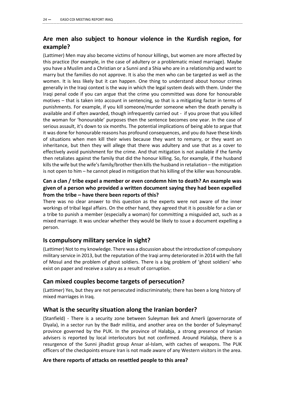## <span id="page-23-0"></span>**Are men also subject to honour violence in the Kurdish region, for example?**

(Lattimer) Men may also become victims of honour killings, but women are more affected by this practice (for example, in the case of adultery or a problematic mixed marriage). Maybe you have a Muslim and a Christian or a Sunni and a Shia who are in a relationship and want to marry but the families do not approve. It is also the men who can be targeted as well as the women. It is less likely but it can happen. One thing to understand about honour crimes generally in the Iraqi context is the way in which the legal system deals with them. Under the Iraqi penal code if you can argue that the crime you committed was done for honourable motives – that is taken into account in sentencing, so that is a mitigating factor in terms of punishments. For example, if you kill someone/murder someone when the death penalty is available and if often awarded, though infrequently carried out - if you prove that you killed the woman for 'honourable' purposes then the sentence becomes one year. In the case of serious assault, it's down to six months. The potential implications of being able to argue that it was done for honourable reasons has profound consequences, and you do have these kinds of situations when men kill their wives because they want to remarry, or they want an inheritance, but then they will allege that there was adultery and use that as a cover to effectively avoid punishment for the crime. And that mitigation is not available if the family then retaliates against the family that did the honour killing. So, for example, if the husband kills the wife but the wife's family/brother then kills the husband in retaliation – the mitigation is not open to him – he cannot plead in mitigation that his killing of the killer was honourable.

#### **Can a clan / tribe expel a member or even condemn him to death? An example was given of a person who provided a written document saying they had been expelled from the tribe – have there been reports of this?**

There was no clear answer to this question as the experts were not aware of the inner workings of tribal legal affairs. On the other hand, they agreed that it is possible for a clan or a tribe to punish a member (especially a woman) for committing a misguided act, such as a mixed marriage. It was unclear whether they would be likely to issue a document expelling a person.

## <span id="page-23-1"></span>**Is compulsory military service in sight?**

(Lattimer) Not to my knowledge. There was a discussion about the introduction of compulsory military service in 2013, but the reputation of the Iraqi army deteriorated in 2014 with the fall of Mosul and the problem of ghost soldiers. There is a big problem of 'ghost soldiers' who exist on paper and receive a salary as a result of corruption.

## <span id="page-23-2"></span>**Can mixed couples become targets of persecution?**

(Lattimer) Yes, but they are not persecuted indiscriminately; there has been a long history of mixed marriages in Iraq.

## <span id="page-23-3"></span>**What is the security situation along the Iranian border?**

(Stanfield) - There is a security zone between Suleyman Bek and Amerli (governorate of Diyala), in a sector run by the Badr militia, and another area on the border of Suleymanyč province governed by the PUK. In the province of Halabja, a strong presence of Iranian advisers is reported by local interlocutors but not confirmed. Around Halabja, there is a resurgence of the Sunni jihadist group Ansar al-Islam, with caches of weapons. The PUK officers of the checkpoints ensure Iran is not made aware of any Western visitors in the area.

#### **Are there reports of attacks on resettled people to this area?**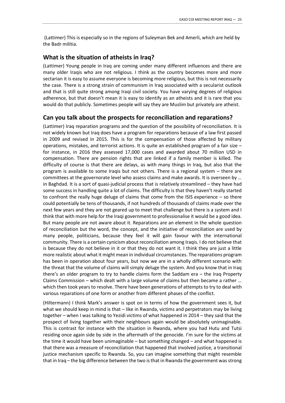(Lattimer) This is especially so in the regions of Suleyman Bek and Amerli, which are held by the Badr militia.

#### <span id="page-24-0"></span>**What is the situation of atheists in Iraq?**

(Lattimer) Young people in Iraq are coming under many different influences and there are many older Iraqis who are not religious. I think as the country becomes more and more sectarian it is easy to assume everyone is becoming more religious, but this is not necessarily the case. There is a strong strain of communism in Iraq associated with a secularist outlook and that is still quite strong among Iraqi civil society. You have varying degrees of religious adherence, but that doesn't mean it is easy to identify as an atheists and it is rare that you would do that publicly. Sometimes people will say they are Muslim but privately are atheist.

#### <span id="page-24-1"></span>**Can you talk about the prospects for reconciliation and reparations?**

(Lattimer) Iraq reparation programs and the question of the possibility of reconciliation. It is not widely known but Iraq does have a program for reparations because of a law first passed in 2009 and revised in 2015. This is for the compensation of those affected by military operations, mistakes, and terrorist actions. It is quite an established program of a fair size – for instance, in 2016 they assessed 17,000 cases and awarded about 70 million USD in compensation. There are pension rights that are linked if a family member is killed. The difficulty of course is that there are delays, as with many things in Iraq, but also that the program is available to some Iraqis but not others. There is a regional system – there are committees at the governorate level who assess claims and make awards. It is overseen by … in Baghdad. It is a sort of quasi-judicial process that is relatively streamlined – they have had some success in handling quite a lot of claims. The difficulty is that they haven't really started to confront the really huge deluge of claims that come from the ISIS experience – so there could potentially be tens of thousands, if not hundreds of thousands of claims made over the next few years and they are not geared up to meet that challenge but there is a system and I think that with more help for the Iraqi government to professionalise it would be a good idea. But many people are not aware about it. Reparations are an element in the whole question of reconciliation but the word, the concept, and the initiative of reconciliation are used by many people, politicians, because they feel it will gain favour with the international community. There is a certain cynicism about reconciliation among Iraqis. I do not believe that is because they do not believe in it or that they do not want it. I think they are just a little more realistic about what it might mean in individual circumstances. The reparations program has been in operation about four years, but now we are in a wholly different scenario with the threat that the volume of claims will simply deluge the system. And you know that in Iraq there's an older program to try to handle claims form the Saddam era – the Iraq Property Claims Commission – which dealt with a large volume of claims but then became a rather … which then took years to resolve. There have been generations of attempts to try to deal with various reparations of one form or another from different phases of the conflict.

(Hiltermann) I think Mark's answer is spot on in terms of how the government sees it, but what we should keep in mind is that – like in Rwanda, victims and perpetrators may be living together – when I was talking to Yezidi victims of what happened in 2014 – they said that the prospect of living together with their neighbours again would be absolutely unimaginable. This is contrast for instance with the situation in Rwanda, where you had Hutu and Tutsi residing once again side by side in the aftermath of the genocide. I'm sure for the victims at the time it would have been unimaginable – but something changed – and what happened is that there was a measure of reconciliation that happened that involved justice, a transitional justice mechanism specific to Rwanda. So, you can imagine something that might resemble that in Iraq – the big difference between the two is that in Rwanda the government was strong